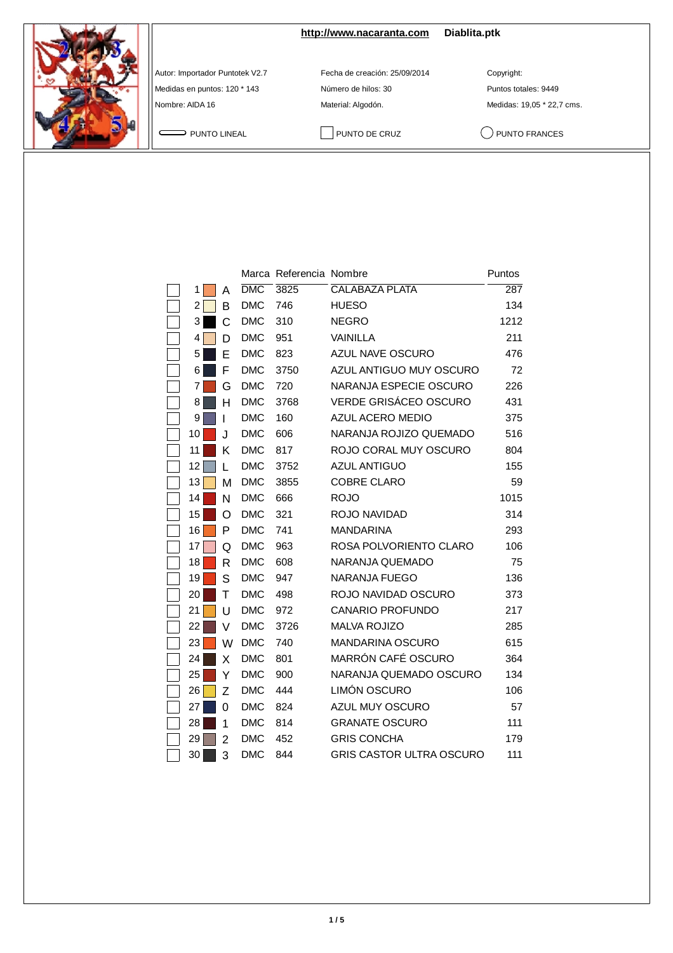

**<http://www.nacaranta.com>Diablita.ptk**

Autor: Importador Puntotek V2.7 Fecha de creación: 25/09/2014 Copyright:

Medidas en puntos: 120 \* 143 Número de hilos: 30 Puntos totales: 9449 Nombre: AIDA 16 Material: Algodón. Material: Algodón. Medidas: 19,05 \* 22,7 cms.

PUNTO LINEAL PUNTO DE CRUZ QUINTO FRANCES

|                |   |                  | Marca Referencia Nombre |                                 | Puntos |
|----------------|---|------------------|-------------------------|---------------------------------|--------|
| 1              | Α | $\overline{DMC}$ | 3825                    | <b>CALABAZA PLATA</b>           | 287    |
| $\overline{2}$ | B | <b>DMC</b>       | 746                     | <b>HUESO</b>                    | 134    |
| 3              | C | <b>DMC</b>       | 310                     | <b>NEGRO</b>                    | 1212   |
| 4              | D | <b>DMC</b>       | 951                     | VAINILLA                        | 211    |
| 5              | E | <b>DMC</b>       | 823                     | AZUL NAVE OSCURO                | 476    |
| 6              | F | <b>DMC</b>       | 3750                    | AZUL ANTIGUO MUY OSCURO         | 72     |
| 7              | G | <b>DMC</b>       | 720                     | NARANJA ESPECIE OSCURO          | 226    |
| 8              | н | <b>DMC</b>       | 3768                    | <b>VERDE GRISÁCEO OSCURO</b>    | 431    |
| 9              | ı | <b>DMC</b>       | 160                     | AZUL ACERO MEDIO                | 375    |
| 10             | J | <b>DMC</b>       | 606                     | NARANJA ROJIZO QUEMADO          | 516    |
| 11             | Κ | <b>DMC</b>       | 817                     | ROJO CORAL MUY OSCURO           | 804    |
| 12             | L | <b>DMC</b>       | 3752                    | <b>AZUL ANTIGUO</b>             | 155    |
| 13             | М | <b>DMC</b>       | 3855                    | <b>COBRE CLARO</b>              | 59     |
| 14             | N | <b>DMC</b>       | 666                     | <b>ROJO</b>                     | 1015   |
| 15             | O | <b>DMC</b>       | 321                     | ROJO NAVIDAD                    | 314    |
| 16             | P | <b>DMC</b>       | 741                     | <b>MANDARINA</b>                | 293    |
| 17             | Q | <b>DMC</b>       | 963                     | ROSA POLVORIENTO CLARO          | 106    |
| 18             | R | <b>DMC</b>       | 608                     | NARANJA QUEMADO                 | 75     |
| 19             | S | <b>DMC</b>       | 947                     | <b>NARANJA FUEGO</b>            | 136    |
| 20             | Τ | <b>DMC</b>       | 498                     | ROJO NAVIDAD OSCURO             | 373    |
| 21             | U | <b>DMC</b>       | 972                     | <b>CANARIO PROFUNDO</b>         | 217    |
| 22             | V | <b>DMC</b>       | 3726                    | <b>MALVA ROJIZO</b>             | 285    |
| 23             | W | <b>DMC</b>       | 740                     | <b>MANDARINA OSCURO</b>         | 615    |
| 24             | X | <b>DMC</b>       | 801                     | MARRÓN CAFÉ OSCURO              | 364    |
| 25             | Υ | <b>DMC</b>       | 900                     | NARANJA QUEMADO OSCURO          | 134    |
| 26             | Z | <b>DMC</b>       | 444                     | LIMÓN OSCURO                    | 106    |
| 27             | 0 | <b>DMC</b>       | 824                     | AZUL MUY OSCURO                 | 57     |
| 28             | 1 | <b>DMC</b>       | 814                     | <b>GRANATE OSCURO</b>           | 111    |
| 29             | 2 | <b>DMC</b>       | 452                     | <b>GRIS CONCHA</b>              | 179    |
| 30             | 3 | <b>DMC</b>       | 844                     | <b>GRIS CASTOR ULTRA OSCURO</b> | 111    |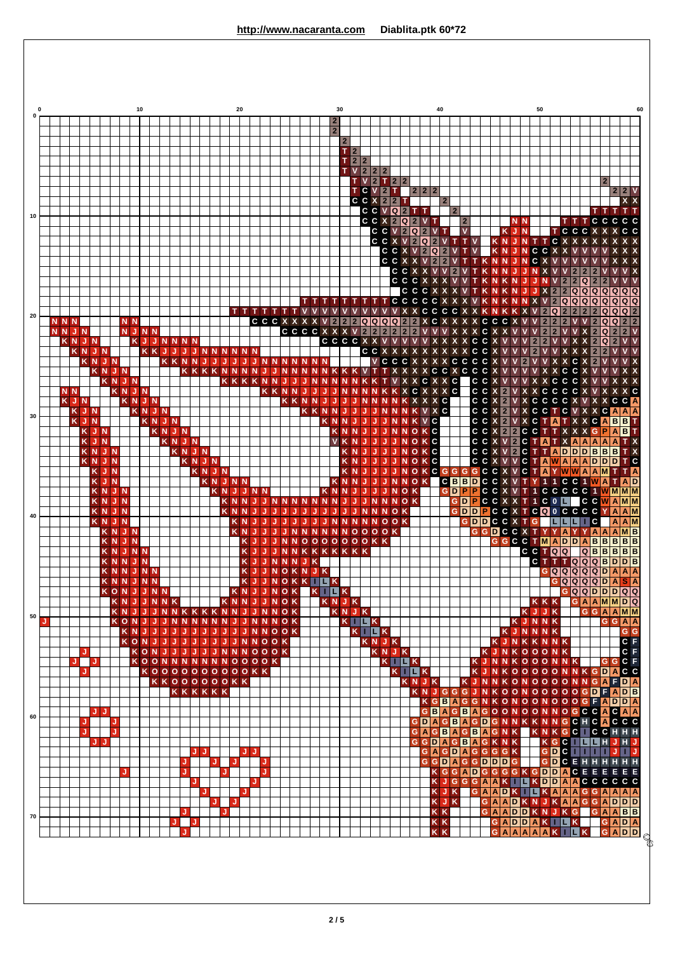|             |                   |               |    |                               | 10          |     |          |                |                      |     |                |                      |                | 20 |     |                                           |   |     |   |                     |   | 30                                        |                                  |                           |         |                    |                                  |                                           |                                                         | 40               |                           |              |                     |                 |                                  |                  |                                                  | 50                |                     |                |                     |                                             |                                |                         |     |
|-------------|-------------------|---------------|----|-------------------------------|-------------|-----|----------|----------------|----------------------|-----|----------------|----------------------|----------------|----|-----|-------------------------------------------|---|-----|---|---------------------|---|-------------------------------------------|----------------------------------|---------------------------|---------|--------------------|----------------------------------|-------------------------------------------|---------------------------------------------------------|------------------|---------------------------|--------------|---------------------|-----------------|----------------------------------|------------------|--------------------------------------------------|-------------------|---------------------|----------------|---------------------|---------------------------------------------|--------------------------------|-------------------------|-----|
|             |                   |               |    |                               |             |     |          |                |                      |     |                |                      |                |    |     |                                           |   |     |   |                     |   | $\overline{2}$                            |                                  |                           |         |                    |                                  |                                           |                                                         |                  |                           |              |                     |                 |                                  |                  |                                                  |                   |                     |                |                     |                                             |                                |                         |     |
|             |                   |               |    |                               |             |     |          |                |                      |     |                |                      |                |    |     |                                           |   |     |   |                     |   | 2 <sup>1</sup><br>$\overline{\mathbf{2}}$ |                                  |                           |         |                    |                                  |                                           |                                                         |                  |                           |              |                     |                 |                                  |                  |                                                  |                   |                     |                |                     |                                             |                                |                         |     |
|             |                   |               |    |                               |             |     |          |                |                      |     |                |                      |                |    |     |                                           |   |     |   |                     |   | T.                                        | 2 <br>$T$ 2 2                    |                           |         |                    |                                  |                                           |                                                         |                  |                           |              |                     |                 |                                  |                  |                                                  |                   |                     |                |                     |                                             |                                |                         |     |
|             |                   |               |    |                               |             |     |          |                |                      |     |                |                      |                |    |     |                                           |   |     |   |                     |   |                                           |                                  | V 2 2 2                   |         |                    |                                  |                                           |                                                         |                  |                           |              |                     |                 |                                  |                  |                                                  |                   |                     |                |                     |                                             |                                |                         |     |
|             |                   |               |    |                               |             |     |          |                |                      |     |                |                      |                |    |     |                                           |   |     |   |                     |   |                                           |                                  | V <sub>2</sub><br>T C V 2 |         | T 2 2<br>т         |                                  | 2 2 2                                     |                                                         |                  |                           |              |                     |                 |                                  |                  |                                                  |                   |                     |                |                     |                                             | $\mathbf{2}$                   | 2 2 V                   |     |
|             |                   |               |    |                               |             |     |          |                |                      |     |                |                      |                |    |     |                                           |   |     |   |                     |   |                                           |                                  | C C X 212                 |         | <b>CCVQ</b>        | Т<br>2 <sup>1</sup>              |                                           | Т                                                       | $\overline{2}$   | $\overline{2}$            |              |                     |                 |                                  |                  |                                                  |                   |                     |                |                     |                                             | זזזז                           |                         | X X |
|             |                   |               |    |                               |             |     |          |                |                      |     |                |                      |                |    |     |                                           |   |     |   |                     |   |                                           |                                  |                           |         |                    | C C X 2 Q 2                      |                                           | $V$ T                                                   |                  |                           | $\mathbf{2}$ |                     |                 |                                  | N N              |                                                  |                   |                     |                | ΙT                  | TCCCCC                                      |                                |                         |     |
|             |                   |               |    |                               |             |     |          |                |                      |     |                |                      |                |    |     |                                           |   |     |   |                     |   |                                           |                                  |                           |         |                    | C C V 2 Q<br>$C$ $C$ $X$ $V$ $2$ |                                           | 2 V T<br>Q2VTV                                          |                  |                           | $\mathbf{v}$ |                     |                 | K <sub>N</sub>                   | <b>KJN</b><br>JN | IT.                                              | п                 | C                   | $\mathbf{x}$   |                     | CCCXXXCC                                    |                                |                         |     |
|             |                   |               |    |                               |             |     |          |                |                      |     |                |                      |                |    |     |                                           |   |     |   |                     |   |                                           |                                  |                           |         |                    |                                  | $C$ $C$ $X$ $V$ $2$ $Q$ $2$<br>CCXXV2     |                                                         | $\mathbf{2}$     | V T                       | <b>TV</b>    | IT.                 | <b>N</b>        | K <sub>N</sub><br>N              | 4J<br>ŋ,         | N<br>C.<br>N                                     | <b>CC</b>         |                     |                |                     |                                             |                                |                         |     |
|             |                   |               |    |                               |             |     |          |                |                      |     |                |                      |                |    |     |                                           |   |     |   |                     |   |                                           |                                  |                           |         |                    |                                  | CCXXVV                                    |                                                         |                  | $\vert$ 2                 |              |                     | N               | N                                |                  |                                                  |                   |                     |                |                     |                                             |                                |                         |     |
|             |                   |               |    |                               |             |     |          |                |                      |     |                |                      |                |    |     |                                           |   |     |   |                     |   |                                           |                                  |                           |         |                    |                                  | <b>CCCX</b><br><b>CCCX</b>                | $\mathbf{x}$                                            | $\mathbf{x}$     | $\mathbf{v}$              | V T          | <b>TKN</b>          | N               |                                  | N<br>N           |                                                  | N<br>$\mathbf{x}$ | $\overline{2}$      | $\overline{2}$ | 2 2 Q               | $\overline{2}$<br>0000000                   |                                |                         |     |
|             |                   |               |    |                               |             |     |          |                |                      |     |                |                      |                |    |     | тт                                        |   |     |   |                     |   |                                           |                                  |                           | т       |                    |                                  | TCCCCCX<br>VXXCCCCXX                      |                                                         |                  | $\boldsymbol{\mathsf{x}}$ | X            | VK                  | N<br><b>KNK</b> |                                  | N<br>K           | N<br>$\mathbf{x}$<br>$\mathbf{x}$<br>$\mathbf v$ |                   | 2 Q                 |                | V 2 Q Q Q<br> 2 2 2 |                                             | Q Q Q Q Q<br>2 Q Q Q 2         |                         |     |
| <b>NNN</b>  |                   |               |    | <b>NN</b>                     |             |     |          |                |                      |     |                |                      |                |    |     | CCCXX                                     |   |     |   |                     |   | $\mathbf{2}$                              |                                  |                           |         |                    |                                  | $2$ Q Q Q Q $2$ $2$ X C X X X X C C C X V |                                                         |                  |                           |              |                     |                 |                                  |                  | $\mathsf{v}$                                     |                   | 2 2 2               |                |                     | $\mathsf{V}$                                | 2 Q                            | Q 2 2                   |     |
| <b>NNJN</b> | <b>KNJN</b>       |               |    | <b>NJNN</b>                   |             |     |          | <b>KJJNNNN</b> |                      |     |                |                      |                |    |     |                                           |   |     |   |                     |   | CCCCXXX                                   | v                                | $2\overline{2}$           |         | 2 2                | 2 2<br><b>CCCCXXVVVV</b>         |                                           | <b>V</b> V<br>VX                                        | $\mathbf v$      |                           |              | X<br><b>XXXCCX</b>  | C X             | $\mathbf{x}$                     | $\mathbf v$      | $\mathsf{v}$<br>$\mathbf{2}$                     | $\overline{2}$    | 2 2                 |                |                     |                                             | 2 <sup>1</sup><br>Q<br>2 Q     | 2 2 V<br>$\overline{2}$ |     |
|             | KNJN<br>KNJN      |               |    |                               |             |     |          | KKJJ<br>K K    | IJ<br>N <sub>N</sub> |     |                | <b>JNNNNNN</b>       |                |    | JJ. | <b>NNN</b>                                |   |     | N |                     |   |                                           |                                  |                           |         | CCXX               | CCCX                             | X                                         | x<br>$\mathbf{x}$<br><b>X</b>                           |                  | $X$ $X$                   | $\mathbf x$  | c c<br><b>XCCCC</b> |                 |                                  |                  | $\mathbf{2}$                                     |                   |                     |                | C.                  |                                             | 2 <sub>1</sub><br>$\mathbf{2}$ |                         |     |
|             |                   | KNJN          |    |                               |             |     |          |                | K K                  |     |                |                      |                |    |     |                                           |   |     |   |                     |   |                                           |                                  |                           |         |                    |                                  |                                           | C                                                       |                  | C X                       | C            | c c                 |                 |                                  |                  |                                                  |                   |                     | C.             | C                   |                                             |                                |                         |     |
| <b>NN</b>   |                   |               |    | <b>KNJN</b><br>KNJN           |             |     |          |                |                      |     |                |                      |                |    | K   |                                           | N |     |   |                     |   |                                           |                                  |                           |         | ĸ                  |                                  | <b>XCXXC</b><br><b>XCXXXC</b>             |                                                         |                  |                           |              | C C X<br>C C X      |                 |                                  |                  |                                                  |                   | C<br>c <sub>c</sub> |                | C C X<br>C C X      |                                             |                                |                         |     |
| KJN         | <b>KJN</b>        |               |    | <b>KNJN</b>                   | <b>KNJN</b> |     |          |                |                      |     |                |                      |                |    |     |                                           |   | K K |   | N <sub>N</sub><br>K | N |                                           |                                  | N                         | IJ      | N.<br>$\mathbb{N}$ | -N                               | NNNKXXXC<br>KVXC                          |                                                         |                  |                           |              | C C X<br>C C X      |                 | $\overline{2}$<br>$\overline{2}$ | $\mathbf{V}$     |                                                  |                   |                     |                |                     | V X C C C C X V X X C C<br><b>XCCTCVXXC</b> |                                | A A A                   |     |
|             | K J N             |               |    |                               |             |     |          | <b>KNJN</b>    |                      |     |                |                      |                |    |     |                                           |   |     |   |                     |   | KNNJ                                      |                                  | IJ.                       | IJ      |                    |                                  | <b>JNNKVC</b>                             |                                                         |                  |                           |              | C C X P             |                 |                                  |                  |                                                  |                   |                     |                |                     | VXCTATXXCABB                                |                                |                         |     |
|             | KJN<br><b>KJN</b> |               |    |                               |             |     |          | KNJN<br>KNJN   |                      |     |                |                      |                |    |     |                                           |   |     |   |                     |   | <b>VKN</b>                                |                                  | KNNJJ<br>$J-J$            |         | U.                 |                                  | <b>NNOKC</b><br><b>JJNOKC</b>             |                                                         |                  |                           |              | C C X V 2           |                 |                                  |                  |                                                  |                   |                     |                |                     | CCX22CCTTXXXGPAB<br>C T A T X A A A A A     |                                |                         |     |
|             | KNJN<br>KNJN      |               |    |                               |             |     |          |                | KNJN                 |     | KNJN           |                      |                |    |     |                                           |   |     |   |                     |   |                                           | K <sub>N</sub><br>K <sub>N</sub> | JJ                        |         | J.                 |                                  | <b>JJNOKC</b><br>$N$ O K C                |                                                         |                  |                           |              | C C X V 2           |                 |                                  |                  |                                                  |                   |                     |                |                     | C T T A D D D B B B<br>CCXVVCTAWAAADDDTC    |                                |                         |     |
|             |                   | KJN           |    |                               |             |     |          |                |                      |     |                | KNJN                 |                |    |     |                                           |   |     |   |                     |   |                                           | K <sub>N</sub>                   |                           |         |                    | N                                | OKCGGGGCCXVCT                             |                                                         |                  |                           |              |                     |                 |                                  |                  |                                                  | A                 |                     |                |                     | YWWAAMTTA                                   |                                |                         |     |
|             |                   | K J N<br>KNJN |    |                               |             |     |          |                |                      |     | K <sub>N</sub> | ĸ<br><b>N</b>        | J N N          |    | JN. |                                           |   |     |   |                     |   | <b>KNN</b><br>K N N                       |                                  |                           | IJ<br>U |                    | <b>NOK</b>                       | <b>NNOK</b>                               |                                                         | G                | D                         |              |                     |                 |                                  |                  |                                                  |                   |                     |                |                     | CBBDCCXVTY11CC1WA<br>PPCCXVT1CCCCC1WMMM     |                                | <b>TAD</b>              |     |
|             |                   | KNJN<br>KNJN  |    |                               |             |     |          |                |                      |     |                |                      | K <sub>N</sub> |    |     | <b>JNNNNN</b>                             |   |     |   |                     | N | N                                         | J                                | N.                        | N       |                    | <b>NNOK</b><br>NNOK              |                                           |                                                         |                  |                           |              | GDDP                |                 |                                  |                  |                                                  |                   |                     |                |                     | GDPCCXXT1C0LCCWAMM<br>CCXTCOOCCCCY          |                                | A                       |     |
|             |                   | <b>KNJN</b>   |    |                               |             |     |          |                |                      |     |                |                      |                |    |     |                                           |   |     |   |                     |   | N <sub>N</sub>                            | <b>N</b>                         |                           |         | <b>NOOK</b>        |                                  |                                           |                                                         |                  |                           |              |                     |                 |                                  |                  | <b>GDDCCXTG</b>                                  |                   | L.                  | ш              |                     | T.<br> c                                    |                                | $A$ $A$ $M$             |     |
|             |                   |               |    | KNJN<br>KNJN                  |             |     |          |                |                      |     |                |                      |                |    |     |                                           |   | JN. |   |                     |   |                                           |                                  | NNNNOOOOK<br>NNOOOOOOOKK  |         |                    |                                  |                                           |                                                         |                  |                           |              |                     |                 |                                  |                  | <b>GGDCCXT</b>                                   |                   |                     |                |                     | YYAYYAAAMB<br>GGCCTMADDABBBBB               |                                |                         |     |
|             |                   |               |    | KNJNN<br>KNNJN                |             |     |          |                |                      |     |                |                      |                |    | K J | <b>JNNNJK</b>                             |   |     |   |                     |   | NNKKKKKKK                                 |                                  |                           |         |                    |                                  |                                           |                                                         |                  |                           |              |                     |                 |                                  |                  | C C T Q Q                                        |                   |                     |                |                     | Q B B B B B <br>GTTTQQQBDDB                 |                                |                         |     |
|             |                   |               |    | KNNJNN                        |             |     |          |                |                      |     |                |                      |                |    |     | KJJNOKNJK                                 |   |     |   |                     |   |                                           |                                  |                           |         |                    |                                  |                                           |                                                         |                  |                           |              |                     |                 |                                  |                  |                                                  |                   |                     |                |                     | GQQQQQDAAA                                  |                                |                         |     |
|             |                   |               |    | K N N J N N I<br>KONJJNN      |             |     |          |                |                      |     |                |                      |                |    |     | KJJNOKKIKK<br>KNJJNOK                     |   |     |   |                     |   | $K$ $L$ $K$                               |                                  |                           |         |                    |                                  |                                           |                                                         |                  |                           |              |                     |                 |                                  |                  |                                                  |                   |                     |                |                     | GQQQQDASA<br>$GQQDDQQ$                      |                                |                         |     |
|             |                   |               |    | KNJJNNK<br>K N J              |             |     |          |                |                      |     |                |                      |                |    |     | KNNJJNOK<br>JJNNKKKKNNJJNNOK              |   |     |   |                     |   | KNJK<br>KNJK                              |                                  |                           |         |                    |                                  |                                           |                                                         |                  |                           |              |                     |                 |                                  |                  | KJJK                                             |                   | <b>KKK</b>          |                |                     | G A A M M D Q<br>GGAAMM                     |                                |                         |     |
|             |                   |               |    | KON                           |             | JJJ |          | <b>N</b>       |                      |     |                | <b>NNNNNJ</b>        |                |    |     | <b>JNNNOK</b>                             |   |     |   |                     |   |                                           |                                  | $K$ $\blacksquare$ $K$    |         |                    |                                  |                                           |                                                         |                  |                           |              |                     |                 |                                  |                  | KJNNK                                            |                   |                     |                |                     |                                             |                                | GGAA                    |     |
|             |                   |               |    | K <sub>N</sub><br><b>KONJ</b> |             | JJ. | IJ<br>IJ | IJ.<br>IJ      | IJ<br>IJ             | J   | J<br>Ø         | J.                   | IJ             |    |     | <b>JNNOOK</b><br><b>JJNNOOK</b>           |   |     |   |                     |   |                                           |                                  | $K$ $\Box$ $K$            |         | KNJK               |                                  |                                           |                                                         |                  |                           |              |                     |                 |                                  |                  | KJNNNK<br>KJNKKNNK                               |                   |                     |                |                     |                                             |                                | G <sub>G</sub><br>$C$ F |     |
| J.          | J<br>J            |               |    |                               |             |     |          |                |                      |     |                |                      |                |    |     | KONJJJJJJNNNOOOK<br><b>KOONNNNNNNOOOK</b> |   |     |   |                     |   |                                           |                                  |                           |         |                    | KNJK<br>$K$ $\blacksquare$ $K$   |                                           |                                                         |                  |                           |              |                     |                 |                                  |                  | KJNKOOONK<br>KJNNKOOONNK                         |                   |                     |                |                     |                                             | <b>GGCF</b>                    | $C$ $F$                 |     |
|             | J                 |               |    |                               |             |     |          |                |                      |     |                |                      |                |    |     | $K$ 0 0 0 0 0 0 0 0 0 0 0 0 $K$ K         |   |     |   |                     |   |                                           |                                  |                           |         |                    |                                  | KILK                                      |                                                         |                  |                           |              |                     |                 |                                  |                  |                                                  |                   |                     |                |                     | KJNKOOOOONNKGDACC                           |                                |                         |     |
|             |                   |               |    |                               |             |     |          |                |                      |     |                | KKOOOOOOKK<br>KKKKKK |                |    |     |                                           |   |     |   |                     |   |                                           |                                  |                           |         |                    |                                  | KNJK<br>$\mathsf{K}$                      | NJGGGJNKOONOOOOOGDFADB                                  |                  |                           |              |                     |                 |                                  |                  |                                                  |                   |                     |                |                     | KJNNKONOOOONNGAFDA                          |                                |                         |     |
|             |                   | JJ.           |    |                               |             |     |          |                |                      |     |                |                      |                |    |     |                                           |   |     |   |                     |   |                                           |                                  |                           |         |                    |                                  |                                           | <b>KGBAGGNKONOONOOOGFADDA</b><br>GBAGBAGOONOONNOGCCACAA |                  |                           |              |                     |                 |                                  |                  |                                                  |                   |                     |                |                     |                                             |                                |                         |     |
|             | J                 |               | IJ |                               |             |     |          |                |                      |     |                |                      |                |    |     |                                           |   |     |   |                     |   |                                           |                                  |                           |         |                    |                                  | GDAGBAGDGNNKKNNGCHCACCC                   |                                                         |                  |                           |              |                     |                 |                                  |                  |                                                  |                   |                     |                |                     |                                             |                                |                         |     |
|             | J                 | JJ.           | J  |                               |             |     |          |                |                      |     |                |                      |                |    |     |                                           |   |     |   |                     |   |                                           |                                  |                           |         |                    |                                  | GAGBAGBAGNK<br><b>GGDAGBAGKNK</b>         |                                                         |                  |                           |              |                     |                 |                                  |                  |                                                  |                   |                     |                |                     | KNKGCICCHHH<br><b>KGC HHHJHJ</b>            |                                |                         |     |
|             |                   |               |    |                               |             |     |          |                | J                    | JJ. |                | J                    |                |    | JJ  | J                                         |   |     |   |                     |   |                                           |                                  |                           |         |                    |                                  |                                           | GAGDAGGGGK<br>GGDAGGDDDG                                |                  |                           |              |                     |                 |                                  |                  |                                                  |                   |                     |                |                     | <b>GDC ENHHHHH</b>                          |                                |                         |     |
|             |                   |               |    | J                             |             |     |          |                | J                    |     |                | J                    | J              |    |     | J                                         |   |     |   |                     |   |                                           |                                  |                           |         |                    |                                  |                                           |                                                         |                  |                           |              |                     |                 |                                  |                  |                                                  |                   |                     |                |                     | KGGADGGGGKGDDACEEEEE                        |                                |                         |     |
|             |                   |               |    |                               |             |     |          |                |                      | J   | J              |                      |                | J. | J   |                                           |   |     |   |                     |   |                                           |                                  |                           |         |                    |                                  |                                           |                                                         | KJK              |                           |              |                     |                 |                                  |                  |                                                  |                   |                     |                |                     | KJGGGAAKILKDDAACCCCCC<br>GAADKILKAAAGGAAAA  |                                |                         |     |
|             |                   |               |    |                               |             |     |          |                | J                    |     |                | J<br>J               |                |    |     |                                           |   |     |   |                     |   |                                           |                                  |                           |         |                    |                                  |                                           |                                                         | KJK<br><b>KK</b> |                           |              |                     |                 |                                  |                  | GAADDKNJKG                                       |                   |                     |                |                     | GAADKNJKAAGGADDD                            | $G$ $A$ $A$ $B$ $B$            |                         |     |
|             |                   |               |    |                               |             |     |          |                |                      | J   |                |                      |                |    |     |                                           |   |     |   |                     |   |                                           |                                  |                           |         |                    |                                  |                                           |                                                         | <b>KK</b>        |                           |              |                     |                 |                                  |                  | GADDAKILK                                        |                   |                     |                |                     |                                             |                                | <b>GADA</b>             |     |
|             |                   |               |    |                               |             |     |          |                | J                    |     |                |                      |                |    |     |                                           |   |     |   |                     |   |                                           |                                  |                           |         |                    |                                  |                                           |                                                         | <b>KK</b>        |                           |              |                     |                 |                                  |                  | GAAAAAKILK                                       |                   |                     |                |                     |                                             |                                | GADD                    |     |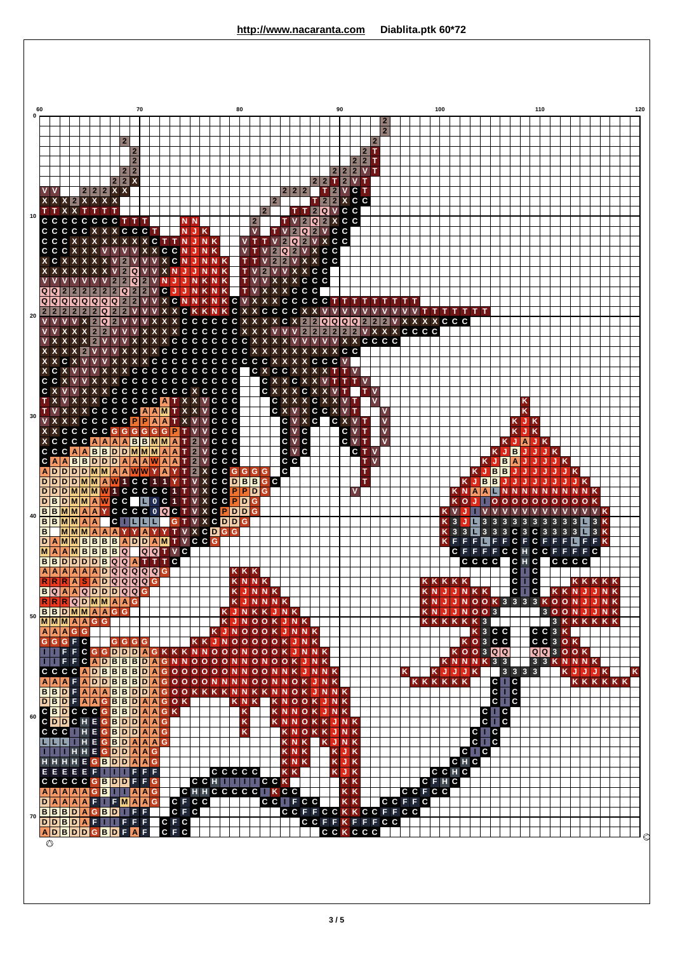|    | 60                |             | 70                                                                           |                |                |                       |                             |                                                                                                                                                                                         |                                           |                                  |     |                |                                         | 80                        |                                                                  |           |            |                         |             |           |                           |                     |                                  |                          | 90                   |                     |                                      |                |                                  |                                            |                     |             | 100          |                                                    |  |              |  |                                           |  |     |                              | 110 |                               |                               |                                         |                                |                         |                         |                |            |                |                      |              |                                     |    |  |  |   |
|----|-------------------|-------------|------------------------------------------------------------------------------|----------------|----------------|-----------------------|-----------------------------|-----------------------------------------------------------------------------------------------------------------------------------------------------------------------------------------|-------------------------------------------|----------------------------------|-----|----------------|-----------------------------------------|---------------------------|------------------------------------------------------------------|-----------|------------|-------------------------|-------------|-----------|---------------------------|---------------------|----------------------------------|--------------------------|----------------------|---------------------|--------------------------------------|----------------|----------------------------------|--------------------------------------------|---------------------|-------------|--------------|----------------------------------------------------|--|--------------|--|-------------------------------------------|--|-----|------------------------------|-----|-------------------------------|-------------------------------|-----------------------------------------|--------------------------------|-------------------------|-------------------------|----------------|------------|----------------|----------------------|--------------|-------------------------------------|----|--|--|---|
|    |                   |             |                                                                              |                |                |                       |                             |                                                                                                                                                                                         |                                           |                                  |     |                |                                         |                           |                                                                  |           |            |                         |             |           |                           |                     |                                  |                          |                      |                     |                                      |                |                                  |                                            |                     |             |              | $\overline{\mathbf{2}}$<br>$\overline{2}$          |  |              |  |                                           |  |     |                              |     |                               |                               |                                         |                                |                         |                         |                |            |                |                      |              |                                     |    |  |  |   |
|    |                   |             |                                                                              |                |                |                       |                             | $\overline{2}$                                                                                                                                                                          |                                           |                                  |     |                |                                         |                           |                                                                  |           |            |                         |             |           |                           |                     |                                  |                          |                      |                     |                                      |                |                                  |                                            |                     | $2\vert T$  | $\mathbf{2}$ |                                                    |  |              |  |                                           |  |     |                              |     |                               |                               |                                         |                                |                         |                         |                |            |                |                      |              |                                     |    |  |  |   |
|    |                   |             |                                                                              |                |                |                       |                             |                                                                                                                                                                                         | $\overline{\mathbf{2}}$<br>$\overline{2}$ |                                  |     |                |                                         |                           |                                                                  |           |            |                         |             |           |                           |                     |                                  |                          |                      |                     |                                      |                |                                  |                                            |                     | 2 2 T       |              |                                                    |  |              |  |                                           |  |     |                              |     |                               |                               |                                         |                                |                         |                         |                |            |                |                      |              |                                     |    |  |  |   |
|    |                   |             |                                                                              |                |                |                       |                             | 2 2<br>22X                                                                                                                                                                              |                                           |                                  |     |                |                                         |                           |                                                                  |           |            |                         |             |           |                           |                     |                                  |                          |                      |                     | 2 2                                  |                | т                                | 2 2 2 <br> 2                               | V <sub>T</sub>      | $V$ T       |              |                                                    |  |              |  |                                           |  |     |                              |     |                               |                               |                                         |                                |                         |                         |                |            |                |                      |              |                                     |    |  |  |   |
|    |                   | $\mathbf v$ | X X X 2 X X X X                                                              |                | $222X$         |                       |                             |                                                                                                                                                                                         |                                           |                                  |     |                |                                         |                           |                                                                  |           |            |                         |             |           |                           |                     |                                  | 2 2                      |                      | $\overline{2}$      |                                      | $\mathbf{2}$   | $\overline{2}$<br>$\overline{2}$ | V C T<br>X C C                             |                     |             |              |                                                    |  |              |  |                                           |  |     |                              |     |                               |                               |                                         |                                |                         |                         |                |            |                |                      |              |                                     |    |  |  |   |
| 10 |                   |             | T T X X T T<br>C C C C                                                       | C              | C              | т<br>C                |                             | C T T                                                                                                                                                                                   |                                           |                                  |     |                |                                         |                           |                                                                  |           |            |                         |             |           | $\overline{2}$            | $\mathbf{2}$        |                                  |                          |                      | Т<br>$\overline{2}$ | 2 Q<br>$Q$ 2                         |                |                                  | V C C<br>X C C                             |                     |             |              |                                                    |  |              |  |                                           |  |     |                              |     |                               |                               |                                         |                                |                         |                         |                |            |                |                      |              |                                     |    |  |  |   |
|    |                   |             | CCCCCX<br>CCCX                                                               | $\mathbf{x}$   |                |                       |                             | <b>XXCCCT</b>                                                                                                                                                                           | x                                         |                                  | C T |                | TNJNK                                   |                           | <b>NJK</b>                                                       |           |            |                         |             |           | V<br>т                    |                     |                                  | $\overline{\mathbf{2}}$  | $\overline{2}$<br> Q | Q<br>$\overline{2}$ | <b>2 V C C</b><br><b>VXCC</b>        |                |                                  |                                            |                     |             |              |                                                    |  |              |  |                                           |  |     |                              |     |                               |                               |                                         |                                |                         |                         |                |            |                |                      |              |                                     |    |  |  |   |
|    | C.                |             | C C X<br>C X                                                                 |                |                |                       |                             |                                                                                                                                                                                         |                                           |                                  |     |                | C C N<br>X C N                          |                           | U.<br>J.                                                         | <b>NK</b> | <b>NNK</b> |                         |             | тт        |                           |                     | $\overline{2}$<br>$\overline{2}$ | Q<br>$\overline{2}$      | 2                    |                     | <b>VXCC</b><br>VXXCC                 |                |                                  |                                            |                     |             |              |                                                    |  |              |  |                                           |  |     |                              |     |                               |                               |                                         |                                |                         |                         |                |            |                |                      |              |                                     |    |  |  |   |
|    |                   |             |                                                                              |                |                |                       |                             | $\mathbf{2}$                                                                                                                                                                            | Q                                         |                                  |     |                |                                         |                           |                                                                  |           | <b>NNK</b> |                         |             | ΤV        |                           | $\overline{2}$      | $\mathbf v$                      |                          |                      |                     | VXXCC                                |                |                                  |                                            |                     |             |              |                                                    |  |              |  |                                           |  |     |                              |     |                               |                               |                                         |                                |                         |                         |                |            |                |                      |              |                                     |    |  |  |   |
|    |                   | Q Q         |                                                                              |                |                | $\overline{2}$        | $\mathbf{2}$                | $\overline{2}$<br>Q                                                                                                                                                                     | Q<br>$\overline{2}$                       | $\overline{2}$<br>$\overline{2}$ | v   | $\mathbb N$    | IJ<br>C J J                             |                           | NKNK<br>NKNK                                                     |           |            |                         |             |           | <b>TVVX</b><br>T V X      |                     | X                                | X                        | $\mathbf{x}$         |                     | C C C<br>X C C C                     |                |                                  |                                            |                     |             |              |                                                    |  |              |  |                                           |  |     |                              |     |                               |                               |                                         |                                |                         |                         |                |            |                |                      |              |                                     |    |  |  |   |
| 20 |                   | 2 2         | Q Q Q Q Q Q Q                                                                | $\overline{2}$ | 2 2 Q          |                       | $Q$ 2<br>2 <sup>1</sup>     | $\overline{2}$                                                                                                                                                                          |                                           |                                  |     |                | ZVVXCNNKNKCVXXX                         |                           | CKKNKCXXCCCCXXV                                                  |           |            |                         |             |           |                           |                     |                                  |                          |                      |                     | CCCCCT                               |                |                                  |                                            |                     |             |              |                                                    |  |              |  | T T T T T T T                             |  |     |                              |     |                               |                               |                                         |                                |                         |                         |                |            |                |                      |              |                                     |    |  |  |   |
|    |                   |             |                                                                              |                | 2 <sub>1</sub> | 2 Q<br>$\overline{2}$ |                             |                                                                                                                                                                                         |                                           |                                  |     |                | x                                       |                           | CCCCCCXXXXCX2<br>CCCCCCX                                         |           |            |                         |             |           | $\boldsymbol{\mathsf{x}}$ |                     |                                  | v                        | $\mathbf v$          | $\overline{2}$      | 2 Q Q<br>2 <sup>1</sup>              | $\overline{2}$ | $\overline{2}$                   | IQ<br>$\overline{2}$                       | Q<br>$\overline{2}$ |             |              |                                                    |  |              |  | <b>XXXCCC</b><br><b>XXCCCC</b>            |  |     |                              |     |                               |                               |                                         |                                |                         |                         |                |            |                |                      |              |                                     |    |  |  |   |
|    |                   |             |                                                                              |                | 2 <sup>1</sup> | $\mathbf v$           |                             |                                                                                                                                                                                         |                                           |                                  |     | c c            | CCCCCCCX                                |                           | <b>CCCCCCCX</b>                                                  |           |            |                         |             |           |                           |                     |                                  |                          |                      |                     |                                      |                |                                  | <b>XXCCCC</b><br>c c                       |                     |             |              |                                                    |  |              |  |                                           |  |     |                              |     |                               |                               |                                         |                                |                         |                         |                |            |                |                      |              |                                     |    |  |  |   |
|    |                   | X C X       | C X                                                                          |                |                |                       |                             |                                                                                                                                                                                         | C                                         | C                                |     |                | <b>CCCCCCCCCCCX</b><br><b>CCCCCCCCC</b> |                           |                                                                  |           |            |                         |             |           | c x c                     |                     |                                  | C                        |                      |                     | <b>CCCV</b>                          |                |                                  |                                            |                     |             |              |                                                    |  |              |  |                                           |  |     |                              |     |                               |                               |                                         |                                |                         |                         |                |            |                |                      |              |                                     |    |  |  |   |
|    |                   |             | C C X                                                                        |                |                |                       |                             | XXCCCCCCCCCCCC                                                                                                                                                                          |                                           |                                  |     |                |                                         |                           |                                                                  |           |            |                         |             |           |                           | C X                 |                                  |                          | C X                  |                     |                                      |                |                                  |                                            |                     |             |              |                                                    |  |              |  |                                           |  |     |                              |     |                               |                               |                                         |                                |                         |                         |                |            |                |                      |              |                                     |    |  |  |   |
|    |                   | C X         |                                                                              |                |                |                       |                             | <b>CCCCCCCCXCCCC</b><br>X X C C C C C C A T X X V C C C                                                                                                                                 |                                           |                                  |     |                |                                         |                           |                                                                  |           |            |                         |             |           |                           | C X                 | C X                              |                          |                      | C                   | C X                                  |                |                                  |                                            |                     |             |              |                                                    |  |              |  |                                           |  |     |                              |     |                               |                               |                                         |                                | κ                       |                         |                |            |                |                      |              |                                     |    |  |  |   |
| 30 |                   |             | <b>V X X</b>                                                                 |                |                |                       |                             | <b>XCCCCCAAMTXX</b><br>CCCCCPPAA                                                                                                                                                        |                                           |                                  |     |                | т                                       | $\boldsymbol{\mathsf{x}}$ |                                                                  |           |            | C C C<br>C C C          |             |           |                           |                     |                                  | C X V<br>C V             |                      | x <sub>c</sub>      | <b>XCCX</b>                          |                |                                  | $\mathbf{V}$<br>C X V T                    | Т                   |             |              | v<br>$\overline{\mathsf{v}}$                       |  |              |  |                                           |  |     |                              |     |                               |                               |                                         |                                | $\overline{\mathsf{K}}$ | J K                     |                |            |                |                      |              |                                     |    |  |  |   |
|    |                   |             | <b>XXCCCCCGGGG</b><br><b>X C C C C A A A A B B M M A</b>                     |                |                |                       |                             |                                                                                                                                                                                         |                                           | GGGP                             |     |                | т                                       | т                         | $\overline{2}$                                                   |           |            | c c c<br>C C C          |             |           |                           |                     |                                  | C A C<br>$c \vee c$      |                      |                     |                                      |                |                                  | $C$ V $T$<br>$C$ $V$ $T$                   |                     |             |              | $\overline{\mathsf{v}}$<br>$\overline{\mathsf{v}}$ |  |              |  |                                           |  |     |                              |     |                               |                               |                                         | κ<br>KJA                       |                         | J K<br>IJ               | K              |            |                |                      |              |                                     |    |  |  |   |
|    | C                 |             | CCAABBDDMMM<br>$C$ A A B B D D D A A A W A A                                 |                |                |                       |                             |                                                                                                                                                                                         |                                           |                                  |     | $A \mid A$     |                                         | т<br>т                    | $\overline{2}$<br>$\mathbf v$<br>2 <sup>1</sup><br>$\mathbf v$   |           | c c        | C C C<br>$\mathbf{c}$   |             |           |                           |                     |                                  | $c \vee c$<br>c c        |                      |                     |                                      |                |                                  |                                            |                     | C T V<br>TV |              |                                                    |  |              |  |                                           |  |     |                              |     |                               |                               | K J<br>$J$ $B$                          | B                              | $\mathbf \Phi$          | IJ<br>A J J             |                | J K<br>JJ. |                | ĸ                    |              |                                     |    |  |  |   |
|    |                   |             | $A$ $D$ $D$ $D$ $D$ $M$ $M$<br>DDDDMMAW1CC1                                  |                |                |                       |                             | A A WW                                                                                                                                                                                  |                                           |                                  | Y   | A<br>$\bullet$ | Y<br>т<br>Y<br>т                        |                           | 2 <sup>1</sup><br>$\boldsymbol{\mathsf{x}}$<br>V X               |           |            | C C G G<br><b>CCDBB</b> |             |           | G                         | G<br>$G$ $C$        |                                  | $\mathsf{c}$             |                      |                     |                                      |                |                                  |                                            |                     | т<br>т      |              |                                                    |  |              |  |                                           |  |     |                              |     | K<br>IJ<br>KJB                | B                             | B<br>$\vert$ B<br>J                     | J<br>$\bf \Phi$                | $\bf \Phi$<br>J         | IJ                      |                | J.<br>IJ   |                | J K                  | J K          |                                     |    |  |  |   |
|    | D                 |             | DDMMMW1CCCCC1                                                                |                |                |                       |                             |                                                                                                                                                                                         |                                           |                                  |     |                | $\mathsf{T}$                            |                           | $\overline{\mathbf{x}}$<br>$\mathbf{V}$                          |           | $C$ $C$    |                         | $P$ $P$ $D$ |           |                           | G                   |                                  |                          |                      |                     |                                      |                |                                  |                                            | v                   |             |              |                                                    |  |              |  |                                           |  |     | KNA                          |     | A                             |                               | N                                       |                                | <b>NN</b>               | N                       | N.             |            | N              |                      |              | N <sub>K</sub>                      |    |  |  |   |
| 40 |                   |             | D B D M M A W C C <br><b>BBMM</b>                                            |                | $A \mid A$     | Ÿ                     |                             | <b>CCCCOQCT</b>                                                                                                                                                                         |                                           | I LI                             |     |                | 0 C 1 T                                 |                           | V X C C<br>V X                                                   |           |            | <b>CPDDG</b>            | $P$ $Q$     |           |                           |                     |                                  |                          |                      |                     |                                      |                |                                  |                                            |                     |             |              |                                                    |  |              |  |                                           |  |     | $\circ$                      |     |                               |                               | $\circ$                                 | 000                            |                         |                         | 0 <sub>o</sub> | $\circ$    |                |                      |              |                                     |    |  |  |   |
|    | B                 |             | <b>BBMMAA</b><br><b>MMMAAAY</b>                                              |                |                |                       | $\mathbf{C}$ $\blacksquare$ |                                                                                                                                                                                         | L<br>Y                                    | <b>AYYT</b>                      | L   |                | G                                       | т<br>V                    | $\mathbf{V}$<br>$\boldsymbol{\mathsf{x}}$<br>$X$ $C$ $D$ $G$ $G$ |           |            | <b>CDDG</b>             |             |           |                           |                     |                                  |                          |                      |                     |                                      |                |                                  |                                            |                     |             |              |                                                    |  |              |  |                                           |  |     | 3<br>$\overline{\mathbf{3}}$ | 3 L |                               | 3 <br>$\overline{\mathbf{3}}$ | $\mathbf{3}$                            |                                | $ C $ 3                 |                         | $ C $ 3        |            | 3 <sup>1</sup> | $\mathbf{3}$         | $\mathbf{3}$ | L.                                  | 3K |  |  |   |
|    | $\mathbf{D}$<br>M | A           | AMMBBBBADDAMTVCCG<br>AMBBBBQ                                                 |                |                |                       |                             |                                                                                                                                                                                         |                                           |                                  |     |                | QQTVC                                   |                           |                                                                  |           |            |                         |             |           |                           |                     |                                  |                          |                      |                     |                                      |                |                                  |                                            |                     |             |              |                                                    |  |              |  |                                           |  | K F | F.                           |     | E                             | L.<br>F                       |                                         | FCF                            |                         |                         |                |            |                | CFFFL                |              | FFK<br>CFFFFCCHCCFFFFC              |    |  |  |   |
|    | A                 |             | <b>BBDDDDBQQATTTC</b><br>$A$ $A$ $A$ $A$ $B$ $D$ $Q$ $Q$ $Q$ $Q$ $Q$ $Q$ $G$ |                |                |                       |                             |                                                                                                                                                                                         |                                           |                                  |     |                |                                         |                           |                                                                  |           |            |                         | <b>KKK</b>  |           |                           |                     |                                  |                          |                      |                     |                                      |                |                                  |                                            |                     |             |              |                                                    |  |              |  |                                           |  |     |                              |     |                               | C C C C                       |                                         | $\overline{\phantom{a}}$ C H C |                         | $c \Box c$              |                |            |                |                      | c c c c      |                                     |    |  |  |   |
|    |                   |             | $R$ $R$ $R$ $A$ $S$ $A$ $D$ $Q$ $Q$ $Q$ $Q$                                  |                |                |                       |                             |                                                                                                                                                                                         |                                           |                                  | G   |                |                                         |                           |                                                                  |           |            |                         |             |           | KNNK                      |                     |                                  |                          |                      |                     |                                      |                |                                  |                                            |                     |             |              |                                                    |  |              |  | KKKKK                                     |  |     |                              |     |                               |                               |                                         |                                |                         | $c \mid c \mid$         |                |            |                |                      |              | KKKKK                               |    |  |  |   |
|    |                   |             | B Q A A Q D D D Q Q G<br>RRRQDMMAAG                                          |                |                |                       |                             |                                                                                                                                                                                         |                                           |                                  |     |                |                                         |                           |                                                                  |           |            |                         |             |           | KJNNK<br>KJNNNK           |                     |                                  |                          |                      |                     |                                      |                |                                  |                                            |                     |             |              |                                                    |  |              |  | KNJJNKK                                   |  |     |                              |     |                               |                               |                                         |                                |                         |                         |                |            |                |                      |              | C C KKNJJNK<br>KNJJNOOK3333KOONJJNK |    |  |  |   |
| 50 |                   |             | BBDMMAAGG<br>MMMAAGG                                                         |                |                |                       |                             |                                                                                                                                                                                         |                                           |                                  |     |                |                                         |                           |                                                                  |           |            | KJNKKJNK<br>KJNOOKJNK   |             |           |                           |                     |                                  |                          |                      |                     |                                      |                |                                  |                                            |                     |             |              |                                                    |  |              |  | KNJJNO03<br>KKKKKK3                       |  |     |                              |     |                               |                               |                                         |                                |                         |                         |                |            |                |                      |              | 3 OON J J N K<br>3 K K K K K K      |    |  |  |   |
|    |                   |             | <b>AAAGG</b><br>G G G F C                                                    |                |                |                       |                             | G G G                                                                                                                                                                                   |                                           |                                  |     |                |                                         |                           | KKJN                                                             |           |            | KJNOOOKJNNK             |             |           | OOOOKJNK                  |                     |                                  |                          |                      |                     |                                      |                |                                  |                                            |                     |             |              |                                                    |  |              |  |                                           |  |     |                              |     |                               |                               | K <sub>3</sub> CC<br>KO <sub>3</sub> CC |                                |                         |                         |                |            |                | C C 3 K<br>C C 3 O K |              |                                     |    |  |  |   |
|    |                   |             |                                                                              |                | c              |                       |                             | FCGGDDDAGKKKNNOO<br><b>ADBBBDA</b>                                                                                                                                                      |                                           |                                  |     | G N            | N                                       |                           | O                                                                |           | O          | $\Omega$<br>N           |             | N         |                           |                     |                                  |                          |                      |                     | <b>ONOOOKJNNK</b><br><b>ONOOKJNK</b> |                |                                  |                                            |                     |             |              |                                                    |  |              |  |                                           |  |     | $K$ 00300<br>KNNNK33         |     |                               |                               |                                         |                                |                         |                         |                |            |                |                      | QQ3OQK       | 3 3 K N N N K                       |    |  |  |   |
|    |                   |             | CCCCADBBBBDAGOOO<br>AAAFADDBBBDAGOOOONN                                      |                |                |                       |                             |                                                                                                                                                                                         |                                           |                                  |     |                |                                         |                           | $\circ$                                                          |           | $\circ$    | O N<br>N.               | <b>N</b>    | N         | $\circ$<br>$\circ$        | $\Omega$<br>$\circ$ | <b>N</b>                         | N                        | O K                  |                     | NKJNNK<br><b>JNK</b>                 |                |                                  |                                            |                     |             |              |                                                    |  | κ            |  | KKKKKK                                    |  |     | KJJJK                        |     |                               |                               | $ c $ $ c $                             | $333$                          |                         | $\overline{\mathbf{3}}$ |                |            |                |                      |              | KJJJK<br>KKKKKK                     |    |  |  |   |
|    |                   |             | <b>BBDFAAABBDDAGOOKKKK</b><br><b>DBDFAAGBBDAAGOK</b>                         |                |                |                       |                             |                                                                                                                                                                                         |                                           |                                  |     |                |                                         |                           |                                                                  |           |            | N                       | <b>KNK</b>  | <b>NK</b> |                           |                     | N                                | N                        | $\mathbf{o}$         | KNOOK               | <b>JNNK</b>                          | <b>JNK</b>     |                                  |                                            |                     |             |              |                                                    |  |              |  |                                           |  |     |                              |     |                               |                               | $rac{c}{c}$ , $rac{c}{c}$               |                                |                         |                         |                |            |                |                      |              |                                     |    |  |  |   |
| 60 |                   |             | C B D C C C G B B D A A G K<br>C D D C H E G B D D A A G                     |                |                |                       |                             |                                                                                                                                                                                         |                                           |                                  |     |                |                                         |                           |                                                                  |           |            |                         |             | K         |                           |                     |                                  |                          |                      |                     | KNNOKJNK                             |                |                                  |                                            |                     |             |              |                                                    |  |              |  |                                           |  |     |                              |     |                               |                               | $C \parallel C$                         |                                |                         |                         |                |            |                |                      |              |                                     |    |  |  |   |
|    |                   |             | CCCIHEGBDDAAG                                                                |                |                |                       |                             |                                                                                                                                                                                         |                                           |                                  |     |                |                                         |                           |                                                                  |           |            |                         |             | K<br>K    |                           |                     |                                  | <b>KNN</b>               |                      |                     |                                      |                |                                  | OKKJNK<br>KNOKKJNK                         |                     |             |              |                                                    |  |              |  |                                           |  |     |                              |     |                               | $C \parallel C$               | $c \overline{\phantom{a}}$ $c$          |                                |                         |                         |                |            |                |                      |              |                                     |    |  |  |   |
|    |                   | 1 L L       | THHEGDDAAG                                                                   |                |                |                       |                             | <b>IHEGBDAAAG</b>                                                                                                                                                                       |                                           |                                  |     |                |                                         |                           |                                                                  |           |            |                         |             |           |                           |                     |                                  | <b>KNK</b><br><b>KNK</b> |                      |                     |                                      |                |                                  | KJNK<br>KJK                                |                     |             |              |                                                    |  |              |  |                                           |  |     |                              |     | $\overline{c}$ $\overline{c}$ | $ c $ $\Box$ $c$              |                                         |                                |                         |                         |                |            |                |                      |              |                                     |    |  |  |   |
|    |                   |             | HHHHEGBDDAAG<br>E E E E E F <b>il</b>                                        |                |                |                       |                             | $\blacksquare$ F F F                                                                                                                                                                    |                                           |                                  |     |                |                                         |                           |                                                                  |           |            | c c c c                 |             |           |                           |                     |                                  | KNK<br>$K$ $K$           |                      |                     |                                      |                |                                  | KJK<br>KJK                                 |                     |             |              |                                                    |  |              |  |                                           |  |     | $C$ <sub>H</sub> $C$<br>CCHC |     |                               |                               |                                         |                                |                         |                         |                |            |                |                      |              |                                     |    |  |  |   |
|    |                   |             | CCCCCGBDDFFG<br>$A$ $A$ $A$ $A$ $B$ $B$                                      |                |                |                       |                             | $\begin{array}{ c c c c c }\hline \end{array}$ $\begin{array}{ c c c c c }\hline \end{array}$ $\begin{array}{ c c c c }\hline \end{array}$ $\begin{array}{ c c c c }\hline \end{array}$ |                                           |                                  |     |                |                                         |                           | <b>CCH THE CCK</b><br><b>CHHCCCCC KCC</b>                        |           |            |                         |             |           |                           |                     |                                  |                          |                      |                     |                                      |                |                                  | <b>KK</b><br>K K                           |                     |             |              |                                                    |  |              |  | $\overline{C}$ F H $\overline{C}$<br>CCFC |  |     |                              |     |                               |                               |                                         |                                |                         |                         |                |            |                |                      |              |                                     |    |  |  |   |
|    |                   |             | DAAAAFIFMAA                                                                  |                |                |                       |                             |                                                                                                                                                                                         |                                           |                                  | G   |                | CFCC                                    |                           |                                                                  |           |            |                         |             |           |                           | $C C$ $F C C$       |                                  |                          |                      |                     |                                      |                |                                  | K K                                        |                     |             |              |                                                    |  | <b>CCFFC</b> |  |                                           |  |     |                              |     |                               |                               |                                         |                                |                         |                         |                |            |                |                      |              |                                     |    |  |  |   |
| 70 |                   |             | BBBDAGBDIFF<br>DDBDAFIIFFF                                                   |                |                |                       |                             |                                                                                                                                                                                         |                                           |                                  |     |                | $C$ F $C$<br>$C$ $F$ $C$                |                           |                                                                  |           |            |                         |             |           |                           |                     |                                  |                          |                      |                     |                                      |                |                                  | <b>CCFFCCKKCCFFCC</b><br><b>CCFFKFFFCC</b> |                     |             |              |                                                    |  |              |  |                                           |  |     |                              |     |                               |                               |                                         |                                |                         |                         |                |            |                |                      |              |                                     |    |  |  |   |
|    |                   | ◎           | ADBDDGBDFAF                                                                  |                |                |                       |                             |                                                                                                                                                                                         |                                           |                                  |     | $C$ $F$        | $\mathbf{c}$                            |                           |                                                                  |           |            |                         |             |           |                           |                     |                                  |                          |                      |                     |                                      |                |                                  | CCKCCC                                     |                     |             |              |                                                    |  |              |  |                                           |  |     |                              |     |                               |                               |                                         |                                |                         |                         |                |            |                |                      |              |                                     |    |  |  | € |
|    |                   |             |                                                                              |                |                |                       |                             |                                                                                                                                                                                         |                                           |                                  |     |                |                                         |                           |                                                                  |           |            |                         |             |           |                           |                     |                                  |                          |                      |                     |                                      |                |                                  |                                            |                     |             |              |                                                    |  |              |  |                                           |  |     |                              |     |                               |                               |                                         |                                |                         |                         |                |            |                |                      |              |                                     |    |  |  |   |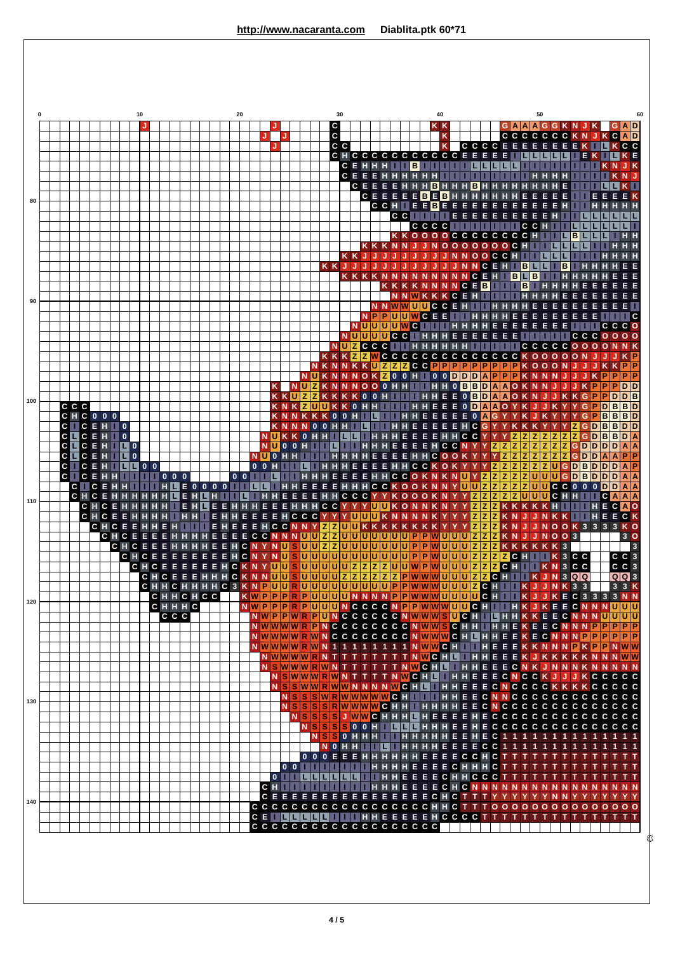